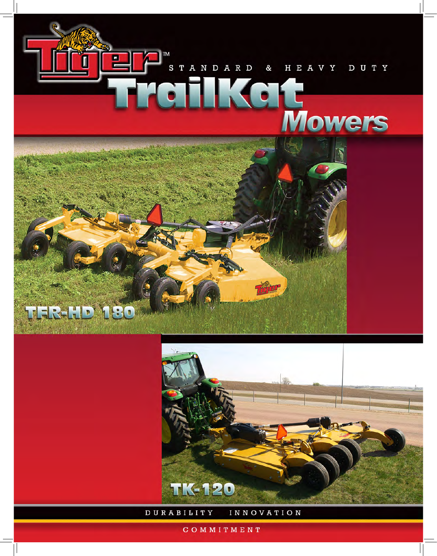



DURABILITY **INNOVATION** 

COMMITMENT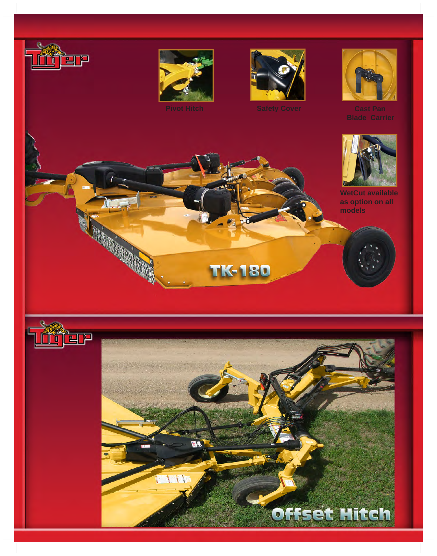









**WetCut available as option on all models**



1

**CONSTRUCTION OF BUSINESS** 



**TK-180**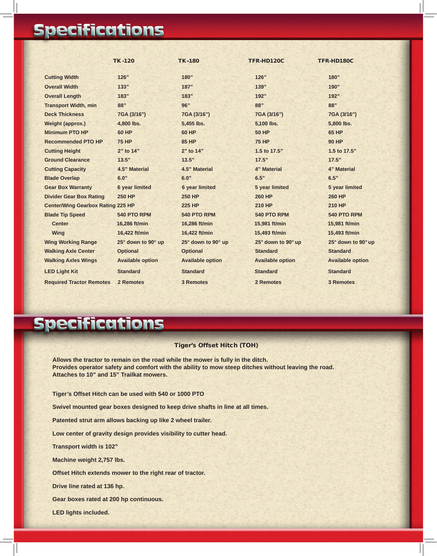## **Specifications**

|                                          | <b>TK-120</b>           | <b>TK-180</b>           | <b>TFR-HD120C</b>       | TFR-HD180C              |
|------------------------------------------|-------------------------|-------------------------|-------------------------|-------------------------|
| <b>Cutting Width</b>                     | 126"                    | 180"                    | 126"                    | 180"                    |
| <b>Overall Width</b>                     | 133"                    | 187"                    | 139"                    | 190"                    |
| <b>Overall Length</b>                    | 183"                    | 183"                    | 192"                    | 192"                    |
| <b>Transport Width, min</b>              | 88"                     | 96"                     | 88"                     | 88"                     |
| <b>Deck Thickness</b>                    | 7GA (3/16")             | 7GA (3/16")             | 7GA (3/16")             | 7GA (3/16")             |
| <b>Weight (approx.)</b>                  | 4,800 lbs.              | 5,455 lbs.              | 5,100 lbs.              | 5,800 lbs.              |
| <b>Minimum PTO HP</b>                    | <b>60 HP</b>            | <b>60 HP</b>            | <b>50 HP</b>            | <b>65 HP</b>            |
| <b>Recommended PTO HP</b>                | <b>75 HP</b>            | <b>85 HP</b>            | <b>75 HP</b>            | <b>90 HP</b>            |
| <b>Cutting Height</b>                    | 2" to 14"               | 2" to 14"               | 1.5 to 17.5"            | 1.5 to 17.5"            |
| <b>Ground Clearance</b>                  | 13.5"                   | 13.5"                   | 17.5"                   | 17.5"                   |
| <b>Cutting Capacity</b>                  | 4.5" Material           | 4.5" Material           | 4" Material             | 4" Material             |
| <b>Blade Overlap</b>                     | 6.0"                    | 6.0"                    | 6.5"                    | 6.5"                    |
| <b>Gear Box Warranty</b>                 | <b>6 year limited</b>   | <b>6 year limited</b>   | 5 year limited          | 5 year limited          |
| <b>Divider Gear Box Rating</b>           | <b>250 HP</b>           | <b>250 HP</b>           | <b>260 HP</b>           | <b>260 HP</b>           |
| <b>Center/Wing Gearbox Rating 225 HP</b> |                         | <b>225 HP</b>           | <b>210 HP</b>           | <b>210 HP</b>           |
| <b>Blade Tip Speed</b>                   | <b>540 PTO RPM</b>      | 540 PTO RPM             | <b>540 PTO RPM</b>      | 540 PTO RPM             |
| <b>Center</b>                            | 16,286 ft/min           | 16,286 ft/min           | 15,981 ft/min           | 15,981 ft/min           |
| <b>Wing</b>                              | 16,422 ft/min           | 16,422 ft/min           | 15,493 ft/min           | 15,493 ft/min           |
| <b>Wing Working Range</b>                | 25° down to 90° up      | 25° down to 90° up      | 25° down to 90° up      | 25° down to 90° up      |
| <b>Walking Axle Center</b>               | <b>Optional</b>         | <b>Optional</b>         | <b>Standard</b>         | <b>Standard</b>         |
| <b>Walking Axles Wings</b>               | <b>Available option</b> | <b>Available option</b> | <b>Available option</b> | <b>Available option</b> |
| <b>LED Light Kit</b>                     | <b>Standard</b>         | <b>Standard</b>         | <b>Standard</b>         | <b>Standard</b>         |
| <b>Required Tractor Remotes</b>          | 2 Remotes               | <b>3 Remotes</b>        | 2 Remotes               | <b>3 Remotes</b>        |

## **Specifications**

## Tiger's Offset Hitch (TOH)

**Allows the tractor to remain on the road while the mower is fully in the ditch. Provides operator safety and comfort with the ability to mow steep ditches without leaving the road. Attaches to 10" and 15" Trailkat mowers.**

**Tiger's Offset Hitch can be used with 540 or 1000 PTO**

**Swivel mounted gear boxes designed to keep drive shafts in line at all times.**

**Patented strut arm allows backing up like 2 wheel trailer.**

**Low center of gravity design provides visibility to cutter head.**

**Transport width is 102"**

**Machine weight 2,757 lbs.**

**Offset Hitch extends mower to the right rear of tractor.**

**Drive line rated at 136 hp.**

**Gear boxes rated at 200 hp continuous.**

**LED lights included.**